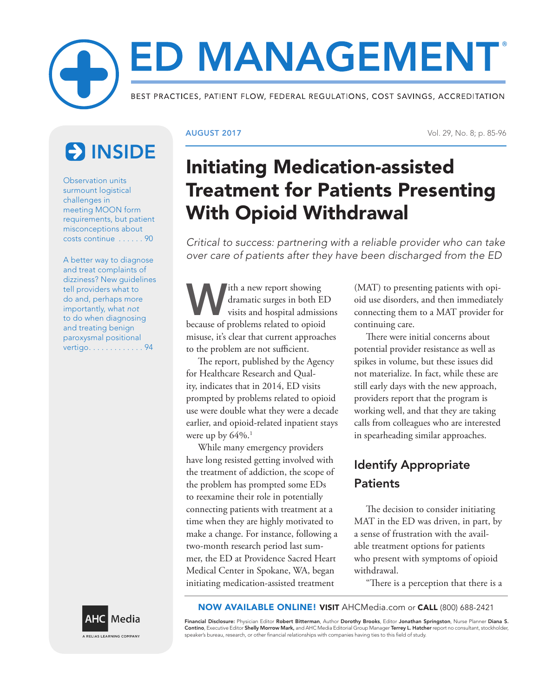# ED MANAGEMENT® BEST PRACTICES, PATIENT FLOW, FEDERAL REGULATIONS, COST SAVINGS, ACCREDITATION

# **ES INSIDE**

Observation units surmount logistical challenges in meeting MOON form requirements, but patient misconceptions about costs continue . . . . . . 90

A better way to diagnose and treat complaints of dizziness? New guidelines tell providers what to do and, perhaps more importantly, what *not* to do when diagnosing and treating benign paroxysmal positional vertigo . . . . . . . . . . . . . 94

AUGUST 2017 Vol. 29, No. 8; p. 85-96

## Initiating Medication-assisted Treatment for Patients Presenting With Opioid Withdrawal

*Critical to success: partnering with a reliable provider who can take over care of patients after they have been discharged from the ED*

With a new report showing<br>dramatic surges in both E<br>visits and hospital admissi dramatic surges in both ED visits and hospital admissions because of problems related to opioid misuse, it's clear that current approaches to the problem are not sufficient.

The report, published by the Agency for Healthcare Research and Quality, indicates that in 2014, ED visits prompted by problems related to opioid use were double what they were a decade earlier, and opioid-related inpatient stays were up by  $64\%$ .<sup>1</sup>

While many emergency providers have long resisted getting involved with the treatment of addiction, the scope of the problem has prompted some EDs to reexamine their role in potentially connecting patients with treatment at a time when they are highly motivated to make a change. For instance, following a two-month research period last summer, the ED at Providence Sacred Heart Medical Center in Spokane, WA, began initiating medication-assisted treatment

(MAT) to presenting patients with opioid use disorders, and then immediately connecting them to a MAT provider for continuing care.

There were initial concerns about potential provider resistance as well as spikes in volume, but these issues did not materialize. In fact, while these are still early days with the new approach, providers report that the program is working well, and that they are taking calls from colleagues who are interested in spearheading similar approaches.

### Identify Appropriate **Patients**

The decision to consider initiating MAT in the ED was driven, in part, by a sense of frustration with the available treatment options for patients who present with symptoms of opioid withdrawal.

"There is a perception that there is a



NOW AVAILABLE ONLINE! VISIT AHCMedia.com or CALL (800) 688-2421

Financial Disclosure: Physician Editor Robert Bitterman, Author Dorothy Brooks, Editor Jonathan Springston, Nurse Planner Diana S. Contino, Executive Editor Shelly Morrow Mark, and AHC Media Editorial Group Manager Terrey L. Hatcher report no consultant, stockholder, speaker's bureau, research, or other financial relationships with companies having ties to this field of study.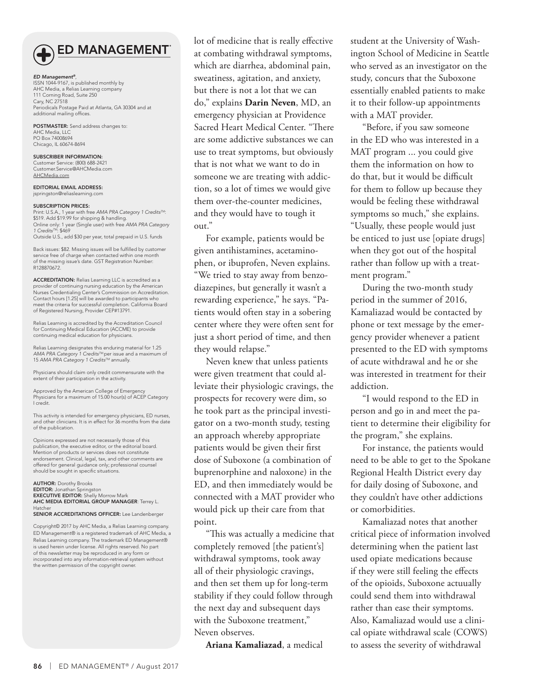

#### **ED MANAGEMENT**

*ED Management®*, ISSN 1044-9167, is published monthly by AHC Media, a Relias Learning company 111 Corning Road, Suite 250 Cary, NC 27518 Periodicals Postage Paid at Atlanta, GA 30304 and at additional mailing offices.

POSTMASTER: Send address changes to: AHC Media, LLC PO Box 74008694 Chicago, IL 60674-8694

SUBSCRIBER INFORMATION: Customer Service: (800) 688-2421 Customer.Service@AHCMedia.com AHCMedia.com

EDITORIAL EMAIL ADDRESS: jspringston@reliaslearning.com

#### SUBSCRIPTION PRICES:

Print: U.S.A., 1 year with free *AMA PRA Category 1 CreditsTM*: \$519. Add \$19.99 for shipping & handling. Online only: 1 year (Single user) with free *AMA PRA Category 1 CreditsTM*: \$469 Outside U.S., add \$30 per year, total prepaid in U.S. funds

Back issues: \$82. Missing issues will be fulfilled by customer service free of charge when contacted within one month of the missing issue's date. GST Registration Number: R128870672.

ACCREDITATION: Relias Learning LLC is accredited as a provider of continuing nursing education by the American Nurses Credentialing Center's Commission on Accreditation. Contact hours [1.25] will be awarded to participants who meet the criteria for successful completion. California Board of Registered Nursing, Provider CEP#13791.

Relias Learning is accredited by the Accreditation Council for Continuing Medical Education (ACCME) to provide continuing medical education for physicians.

Relias Learning designates this enduring material for 1.25<br>*AMA PRA Category 1 Credits™* per issue and a maximum of<br>15 *AMA PRA Category 1 Credits™* annually.

Physicians should claim only credit commensurate with the extent of their participation in the activity.

Approved by the American College of Emergency Physicians for a maximum of 15.00 hour(s) of ACEP Category I credit.

This activity is intended for emergency physicians, ED nurses, and other clinicians. It is in effect for 36 months from the date of the publication.

Opinions expressed are not necessarily those of this publication, the executive editor, or the editorial board. Mention of products or services does not constitute endorsement. Clinical, legal, tax, and other comments are offered for general guidance only; professional counsel should be sought in specific situations.

AUTHOR: Dorothy Brooks EDITOR: Jonathan Springston EXECUTIVE EDITOR: Shelly Morrow Mark AHC MEDIA EDITORIAL GROUP MANAGER: Terrey L. Hatcher SENIOR ACCREDITATIONS OFFICER: Lee Landenberger

Copyright© 2017 by AHC Media, a Relias Learning company. ED Management® is a registered trademark of AHC Media, a Relias Learning company. The trademark ED Management® is used herein under license. All rights reserved. No part of this newsletter may be reproduced in any form or incorporated into any information-retrieval system without the written permission of the copyright owner.

lot of medicine that is really effective at combating withdrawal symptoms, which are diarrhea, abdominal pain, sweatiness, agitation, and anxiety, but there is not a lot that we can do," explains **Darin Neven**, MD, an emergency physician at Providence Sacred Heart Medical Center. "There are some addictive substances we can use to treat symptoms, but obviously that is not what we want to do in someone we are treating with addiction, so a lot of times we would give them over-the-counter medicines, and they would have to tough it out."

For example, patients would be given antihistamines, acetaminophen, or ibuprofen, Neven explains. "We tried to stay away from benzodiazepines, but generally it wasn't a rewarding experience," he says. "Patients would often stay in a sobering center where they were often sent for just a short period of time, and then they would relapse."

Neven knew that unless patients were given treatment that could alleviate their physiologic cravings, the prospects for recovery were dim, so he took part as the principal investigator on a two-month study, testing an approach whereby appropriate patients would be given their first dose of Suboxone (a combination of buprenorphine and naloxone) in the ED, and then immediately would be connected with a MAT provider who would pick up their care from that point.

"This was actually a medicine that completely removed [the patient's] withdrawal symptoms, took away all of their physiologic cravings, and then set them up for long-term stability if they could follow through the next day and subsequent days with the Suboxone treatment," Neven observes.

**Ariana Kamaliazad**, a medical

student at the University of Washington School of Medicine in Seattle who served as an investigator on the study, concurs that the Suboxone essentially enabled patients to make it to their follow-up appointments with a MAT provider.

"Before, if you saw someone in the ED who was interested in a MAT program ... you could give them the information on how to do that, but it would be difficult for them to follow up because they would be feeling these withdrawal symptoms so much," she explains. "Usually, these people would just be enticed to just use [opiate drugs] when they got out of the hospital rather than follow up with a treatment program."

During the two-month study period in the summer of 2016, Kamaliazad would be contacted by phone or text message by the emergency provider whenever a patient presented to the ED with symptoms of acute withdrawal and he or she was interested in treatment for their addiction.

"I would respond to the ED in person and go in and meet the patient to determine their eligibility for the program," she explains.

For instance, the patients would need to be able to get to the Spokane Regional Health District every day for daily dosing of Suboxone, and they couldn't have other addictions or comorbidities.

Kamaliazad notes that another critical piece of information involved determining when the patient last used opiate medications because if they were still feeling the effects of the opioids, Suboxone actuually could send them into withdrawal rather than ease their symptoms. Also, Kamaliazad would use a clinical opiate withdrawal scale (COWS) to assess the severity of withdrawal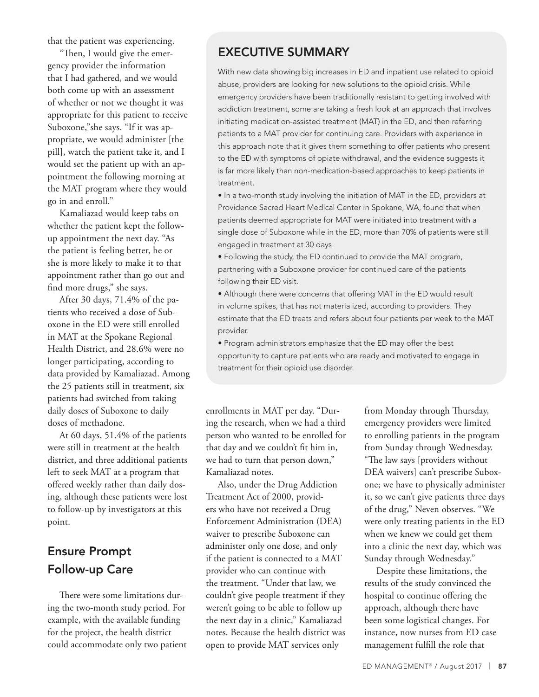that the patient was experiencing.

"Then, I would give the emergency provider the information that I had gathered, and we would both come up with an assessment of whether or not we thought it was appropriate for this patient to receive Suboxone,"she says. "If it was appropriate, we would administer [the pill], watch the patient take it, and I would set the patient up with an appointment the following morning at the MAT program where they would go in and enroll."

Kamaliazad would keep tabs on whether the patient kept the followup appointment the next day. "As the patient is feeling better, he or she is more likely to make it to that appointment rather than go out and find more drugs," she says.

After 30 days, 71.4% of the patients who received a dose of Suboxone in the ED were still enrolled in MAT at the Spokane Regional Health District, and 28.6% were no longer participating, according to data provided by Kamaliazad. Among the 25 patients still in treatment, six patients had switched from taking daily doses of Suboxone to daily doses of methadone.

At 60 days, 51.4% of the patients were still in treatment at the health district, and three additional patients left to seek MAT at a program that offered weekly rather than daily dosing, although these patients were lost to follow-up by investigators at this point.

#### Ensure Prompt Follow-up Care

There were some limitations during the two-month study period. For example, with the available funding for the project, the health district could accommodate only two patient

#### EXECUTIVE SUMMARY

With new data showing big increases in ED and inpatient use related to opioid abuse, providers are looking for new solutions to the opioid crisis. While emergency providers have been traditionally resistant to getting involved with addiction treatment, some are taking a fresh look at an approach that involves initiating medication-assisted treatment (MAT) in the ED, and then referring patients to a MAT provider for continuing care. Providers with experience in this approach note that it gives them something to offer patients who present to the ED with symptoms of opiate withdrawal, and the evidence suggests it is far more likely than non-medication-based approaches to keep patients in treatment.

• In a two-month study involving the initiation of MAT in the ED, providers at Providence Sacred Heart Medical Center in Spokane, WA, found that when patients deemed appropriate for MAT were initiated into treatment with a single dose of Suboxone while in the ED, more than 70% of patients were still engaged in treatment at 30 days.

• Following the study, the ED continued to provide the MAT program, partnering with a Suboxone provider for continued care of the patients following their ED visit.

• Although there were concerns that offering MAT in the ED would result in volume spikes, that has not materialized, according to providers. They estimate that the ED treats and refers about four patients per week to the MAT provider.

• Program administrators emphasize that the ED may offer the best opportunity to capture patients who are ready and motivated to engage in treatment for their opioid use disorder.

enrollments in MAT per day. "During the research, when we had a third person who wanted to be enrolled for that day and we couldn't fit him in, we had to turn that person down," Kamaliazad notes.

Also, under the Drug Addiction Treatment Act of 2000, providers who have not received a Drug Enforcement Administration (DEA) waiver to prescribe Suboxone can administer only one dose, and only if the patient is connected to a MAT provider who can continue with the treatment. "Under that law, we couldn't give people treatment if they weren't going to be able to follow up the next day in a clinic," Kamaliazad notes. Because the health district was open to provide MAT services only

from Monday through Thursday, emergency providers were limited to enrolling patients in the program from Sunday through Wednesday. "The law says [providers without DEA waivers] can't prescribe Suboxone; we have to physically administer it, so we can't give patients three days of the drug," Neven observes. "We were only treating patients in the ED when we knew we could get them into a clinic the next day, which was Sunday through Wednesday."

Despite these limitations, the results of the study convinced the hospital to continue offering the approach, although there have been some logistical changes. For instance, now nurses from ED case management fulfill the role that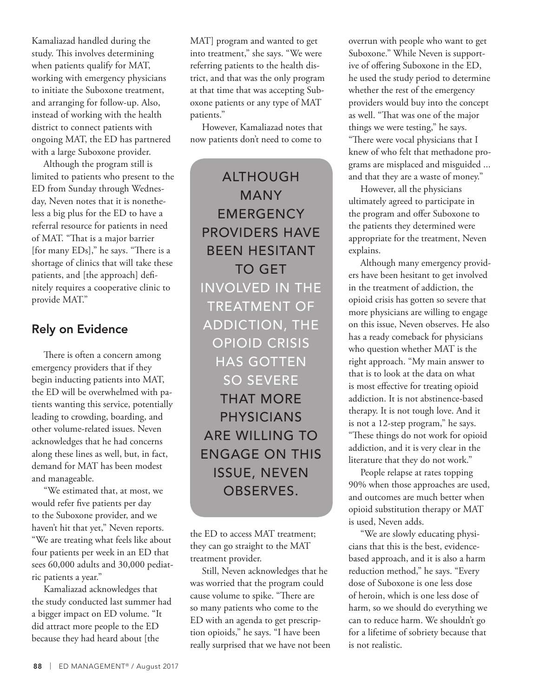Kamaliazad handled during the study. This involves determining when patients qualify for MAT, working with emergency physicians to initiate the Suboxone treatment, and arranging for follow-up. Also, instead of working with the health district to connect patients with ongoing MAT, the ED has partnered with a large Suboxone provider.

Although the program still is limited to patients who present to the ED from Sunday through Wednesday, Neven notes that it is nonetheless a big plus for the ED to have a referral resource for patients in need of MAT. "That is a major barrier [for many EDs]," he says. "There is a shortage of clinics that will take these patients, and [the approach] definitely requires a cooperative clinic to provide MAT."

#### Rely on Evidence

There is often a concern among emergency providers that if they begin inducting patients into MAT, the ED will be overwhelmed with patients wanting this service, potentially leading to crowding, boarding, and other volume-related issues. Neven acknowledges that he had concerns along these lines as well, but, in fact, demand for MAT has been modest and manageable.

"We estimated that, at most, we would refer five patients per day to the Suboxone provider, and we haven't hit that yet," Neven reports. "We are treating what feels like about four patients per week in an ED that sees 60,000 adults and 30,000 pediatric patients a year."

Kamaliazad acknowledges that the study conducted last summer had a bigger impact on ED volume. "It did attract more people to the ED because they had heard about [the

MAT] program and wanted to get into treatment," she says. "We were referring patients to the health district, and that was the only program at that time that was accepting Suboxone patients or any type of MAT patients."

However, Kamaliazad notes that now patients don't need to come to

ALTHOUGH MANY **EMERGENCY** PROVIDERS HAVE BEEN HESITANT TO GET INVOLVED IN THE TREATMENT OF ADDICTION, THE OPIOID CRISIS HAS GOTTEN SO SEVERE THAT MORE PHYSICIANS ARE WILLING TO ENGAGE ON THIS ISSUE, NEVEN OBSERVES.

the ED to access MAT treatment; they can go straight to the MAT treatment provider.

Still, Neven acknowledges that he was worried that the program could cause volume to spike. "There are so many patients who come to the ED with an agenda to get prescription opioids," he says. "I have been really surprised that we have not been overrun with people who want to get Suboxone." While Neven is supportive of offering Suboxone in the ED, he used the study period to determine whether the rest of the emergency providers would buy into the concept as well. "That was one of the major things we were testing," he says. "There were vocal physicians that I knew of who felt that methadone programs are misplaced and misguided ... and that they are a waste of money."

However, all the physicians ultimately agreed to participate in the program and offer Suboxone to the patients they determined were appropriate for the treatment, Neven explains.

Although many emergency providers have been hesitant to get involved in the treatment of addiction, the opioid crisis has gotten so severe that more physicians are willing to engage on this issue, Neven observes. He also has a ready comeback for physicians who question whether MAT is the right approach. "My main answer to that is to look at the data on what is most effective for treating opioid addiction. It is not abstinence-based therapy. It is not tough love. And it is not a 12-step program," he says. "These things do not work for opioid addiction, and it is very clear in the literature that they do not work."

People relapse at rates topping 90% when those approaches are used, and outcomes are much better when opioid substitution therapy or MAT is used, Neven adds.

"We are slowly educating physicians that this is the best, evidencebased approach, and it is also a harm reduction method," he says. "Every dose of Suboxone is one less dose of heroin, which is one less dose of harm, so we should do everything we can to reduce harm. We shouldn't go for a lifetime of sobriety because that is not realistic.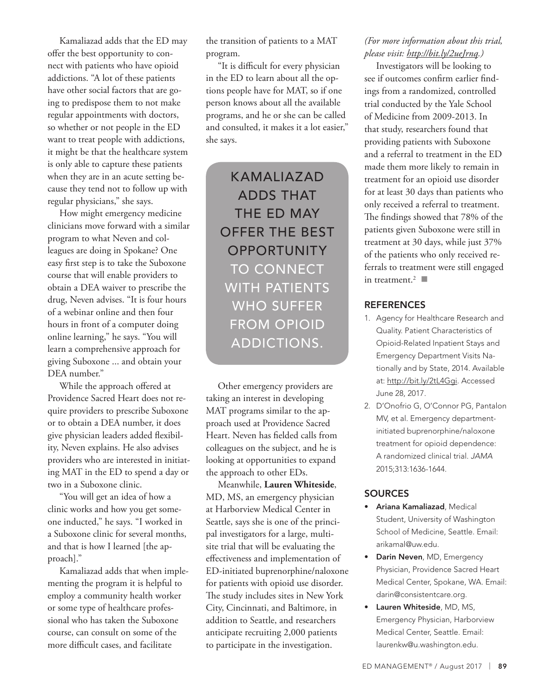Kamaliazad adds that the ED may offer the best opportunity to connect with patients who have opioid addictions. "A lot of these patients have other social factors that are going to predispose them to not make regular appointments with doctors, so whether or not people in the ED want to treat people with addictions, it might be that the healthcare system is only able to capture these patients when they are in an acute setting because they tend not to follow up with regular physicians," she says.

How might emergency medicine clinicians move forward with a similar program to what Neven and colleagues are doing in Spokane? One easy first step is to take the Suboxone course that will enable providers to obtain a DEA waiver to prescribe the drug, Neven advises. "It is four hours of a webinar online and then four hours in front of a computer doing online learning," he says. "You will learn a comprehensive approach for giving Suboxone ... and obtain your DEA number."

While the approach offered at Providence Sacred Heart does not require providers to prescribe Suboxone or to obtain a DEA number, it does give physician leaders added flexibility, Neven explains. He also advises providers who are interested in initiating MAT in the ED to spend a day or two in a Suboxone clinic.

"You will get an idea of how a clinic works and how you get someone inducted," he says. "I worked in a Suboxone clinic for several months, and that is how I learned [the approach]."

Kamaliazad adds that when implementing the program it is helpful to employ a community health worker or some type of healthcare professional who has taken the Suboxone course, can consult on some of the more difficult cases, and facilitate

the transition of patients to a MAT program.

"It is difficult for every physician in the ED to learn about all the options people have for MAT, so if one person knows about all the available programs, and he or she can be called and consulted, it makes it a lot easier," she says.

> KAMALIAZAD ADDS THAT THE ED MAY OFFER THE BEST **OPPORTUNITY** TO CONNECT WITH PATIENTS WHO SUFFER FROM OPIOID ADDICTIONS.

Other emergency providers are taking an interest in developing MAT programs similar to the approach used at Providence Sacred Heart. Neven has fielded calls from colleagues on the subject, and he is looking at opportunities to expand the approach to other EDs.

Meanwhile, **Lauren Whiteside**, MD, MS, an emergency physician at Harborview Medical Center in Seattle, says she is one of the principal investigators for a large, multisite trial that will be evaluating the effectiveness and implementation of ED-initiated buprenorphine/naloxone for patients with opioid use disorder. The study includes sites in New York City, Cincinnati, and Baltimore, in addition to Seattle, and researchers anticipate recruiting 2,000 patients to participate in the investigation.

#### *(For more information about this trial, please visit: http://bit.ly/2ueJrnq.)*

Investigators will be looking to see if outcomes confirm earlier findings from a randomized, controlled trial conducted by the Yale School of Medicine from 2009-2013. In that study, researchers found that providing patients with Suboxone and a referral to treatment in the ED made them more likely to remain in treatment for an opioid use disorder for at least 30 days than patients who only received a referral to treatment. The findings showed that 78% of the patients given Suboxone were still in treatment at 30 days, while just 37% of the patients who only received referrals to treatment were still engaged in treatment.<sup>2</sup>

#### **REFERENCES**

- 1. Agency for Healthcare Research and Quality. Patient Characteristics of Opioid-Related Inpatient Stays and Emergency Department Visits Nationally and by State, 2014. Available at: http://bit.ly/2tL4Ggi. Accessed June 28, 2017.
- 2. D'Onofrio G, O'Connor PG, Pantalon MV, et al. Emergency departmentinitiated buprenorphine/naloxone treatment for opioid dependence: A randomized clinical trial. *JAMA* 2015;313:1636-1644.

#### **SOURCES**

- Ariana Kamaliazad, Medical Student, University of Washington School of Medicine, Seattle. Email: arikamal@uw.edu.
- Darin Neven, MD, Emergency Physician, Providence Sacred Heart Medical Center, Spokane, WA. Email: darin@consistentcare.org.
- Lauren Whiteside, MD, MS, Emergency Physician, Harborview Medical Center, Seattle. Email: laurenkw@u.washington.edu.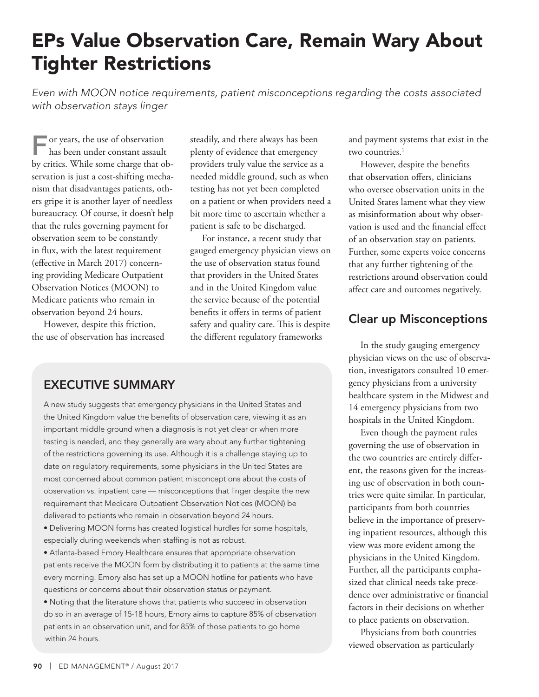### EPs Value Observation Care, Remain Wary About Tighter Restrictions

*Even with MOON notice requirements, patient misconceptions regarding the costs associated with observation stays linger*

For years, the use of observation has been under constant assault by critics. While some charge that observation is just a cost-shifting mechanism that disadvantages patients, others gripe it is another layer of needless bureaucracy. Of course, it doesn't help that the rules governing payment for observation seem to be constantly in flux, with the latest requirement (effective in March 2017) concerning providing Medicare Outpatient Observation Notices (MOON) to Medicare patients who remain in observation beyond 24 hours.

However, despite this friction, the use of observation has increased steadily, and there always has been plenty of evidence that emergency providers truly value the service as a needed middle ground, such as when testing has not yet been completed on a patient or when providers need a bit more time to ascertain whether a patient is safe to be discharged.

For instance, a recent study that gauged emergency physician views on the use of observation status found that providers in the United States and in the United Kingdom value the service because of the potential benefits it offers in terms of patient safety and quality care. This is despite the different regulatory frameworks

and payment systems that exist in the two countries.<sup>1</sup>

However, despite the benefits that observation offers, clinicians who oversee observation units in the United States lament what they view as misinformation about why observation is used and the financial effect of an observation stay on patients. Further, some experts voice concerns that any further tightening of the restrictions around observation could affect care and outcomes negatively.

#### Clear up Misconceptions

In the study gauging emergency physician views on the use of observation, investigators consulted 10 emergency physicians from a university healthcare system in the Midwest and 14 emergency physicians from two hospitals in the United Kingdom.

Even though the payment rules governing the use of observation in the two countries are entirely different, the reasons given for the increasing use of observation in both countries were quite similar. In particular, participants from both countries believe in the importance of preserving inpatient resources, although this view was more evident among the physicians in the United Kingdom. Further, all the participants emphasized that clinical needs take precedence over administrative or financial factors in their decisions on whether to place patients on observation.

Physicians from both countries viewed observation as particularly

#### EXECUTIVE SUMMARY

A new study suggests that emergency physicians in the United States and the United Kingdom value the benefits of observation care, viewing it as an important middle ground when a diagnosis is not yet clear or when more testing is needed, and they generally are wary about any further tightening of the restrictions governing its use. Although it is a challenge staying up to date on regulatory requirements, some physicians in the United States are most concerned about common patient misconceptions about the costs of observation vs. inpatient care — misconceptions that linger despite the new requirement that Medicare Outpatient Observation Notices (MOON) be delivered to patients who remain in observation beyond 24 hours.

• Delivering MOON forms has created logistical hurdles for some hospitals, especially during weekends when staffing is not as robust.

• Atlanta-based Emory Healthcare ensures that appropriate observation patients receive the MOON form by distributing it to patients at the same time every morning. Emory also has set up a MOON hotline for patients who have questions or concerns about their observation status or payment.

• Noting that the literature shows that patients who succeed in observation do so in an average of 15-18 hours, Emory aims to capture 85% of observation patients in an observation unit, and for 85% of those patients to go home within 24 hours.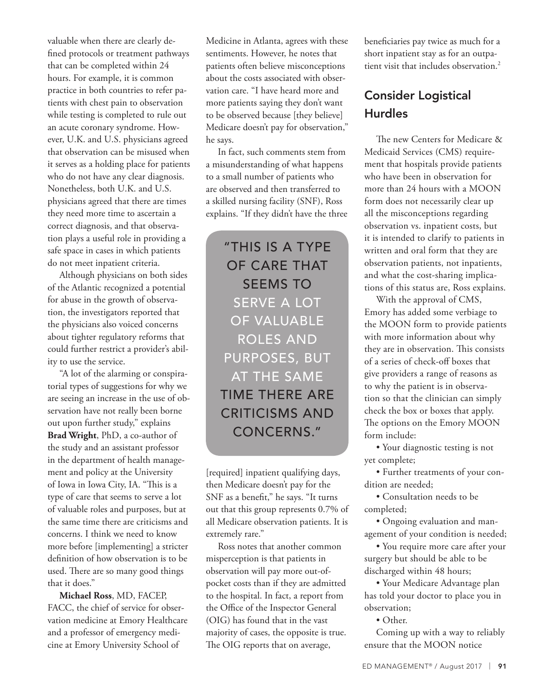valuable when there are clearly defined protocols or treatment pathways that can be completed within 24 hours. For example, it is common practice in both countries to refer patients with chest pain to observation while testing is completed to rule out an acute coronary syndrome. However, U.K. and U.S. physicians agreed that observation can be misused when it serves as a holding place for patients who do not have any clear diagnosis. Nonetheless, both U.K. and U.S. physicians agreed that there are times they need more time to ascertain a correct diagnosis, and that observation plays a useful role in providing a safe space in cases in which patients do not meet inpatient criteria.

Although physicians on both sides of the Atlantic recognized a potential for abuse in the growth of observation, the investigators reported that the physicians also voiced concerns about tighter regulatory reforms that could further restrict a provider's ability to use the service.

"A lot of the alarming or conspiratorial types of suggestions for why we are seeing an increase in the use of observation have not really been borne out upon further study," explains **Brad Wright**, PhD, a co-author of the study and an assistant professor in the department of health management and policy at the University of Iowa in Iowa City, IA. "This is a type of care that seems to serve a lot of valuable roles and purposes, but at the same time there are criticisms and concerns. I think we need to know more before [implementing] a stricter definition of how observation is to be used. There are so many good things that it does."

**Michael Ross**, MD, FACEP, FACC, the chief of service for observation medicine at Emory Healthcare and a professor of emergency medicine at Emory University School of

Medicine in Atlanta, agrees with these sentiments. However, he notes that patients often believe misconceptions about the costs associated with observation care. "I have heard more and more patients saying they don't want to be observed because [they believe] Medicare doesn't pay for observation," he says.

In fact, such comments stem from a misunderstanding of what happens to a small number of patients who are observed and then transferred to a skilled nursing facility (SNF), Ross explains. "If they didn't have the three

> "THIS IS A TYPE OF CARE THAT SEEMS TO SERVE A LOT OF VALUABLE ROLES AND PURPOSES, BUT AT THE SAME TIME THERE ARE CRITICISMS AND CONCERNS."

[required] inpatient qualifying days, then Medicare doesn't pay for the SNF as a benefit," he says. "It turns out that this group represents 0.7% of all Medicare observation patients. It is extremely rare."

Ross notes that another common misperception is that patients in observation will pay more out-ofpocket costs than if they are admitted to the hospital. In fact, a report from the Office of the Inspector General (OIG) has found that in the vast majority of cases, the opposite is true. The OIG reports that on average,

beneficiaries pay twice as much for a short inpatient stay as for an outpatient visit that includes observation.<sup>2</sup>

#### Consider Logistical **Hurdles**

The new Centers for Medicare & Medicaid Services (CMS) requirement that hospitals provide patients who have been in observation for more than 24 hours with a MOON form does not necessarily clear up all the misconceptions regarding observation vs. inpatient costs, but it is intended to clarify to patients in written and oral form that they are observation patients, not inpatients, and what the cost-sharing implications of this status are, Ross explains.

With the approval of CMS, Emory has added some verbiage to the MOON form to provide patients with more information about why they are in observation. This consists of a series of check-off boxes that give providers a range of reasons as to why the patient is in observation so that the clinician can simply check the box or boxes that apply. The options on the Emory MOON form include:

• Your diagnostic testing is not yet complete;

• Further treatments of your condition are needed;

• Consultation needs to be completed;

• Ongoing evaluation and management of your condition is needed;

• You require more care after your surgery but should be able to be discharged within 48 hours;

• Your Medicare Advantage plan has told your doctor to place you in observation;

• Other.

Coming up with a way to reliably ensure that the MOON notice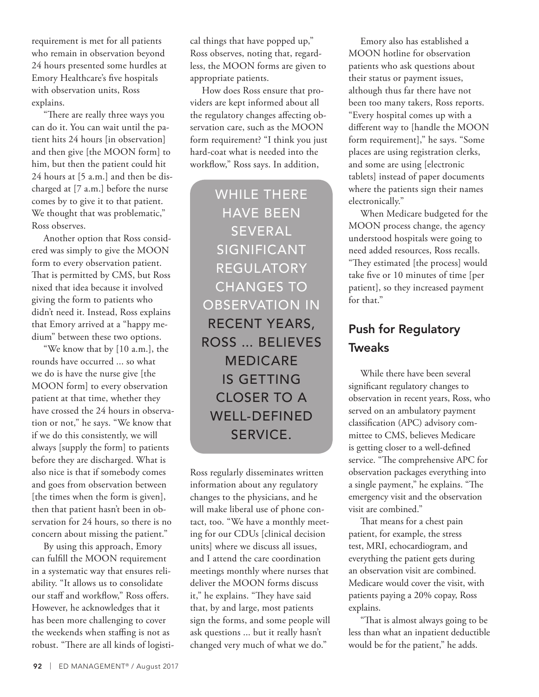requirement is met for all patients who remain in observation beyond 24 hours presented some hurdles at Emory Healthcare's five hospitals with observation units, Ross explains.

"There are really three ways you can do it. You can wait until the patient hits 24 hours [in observation] and then give [the MOON form] to him, but then the patient could hit 24 hours at [5 a.m.] and then be discharged at [7 a.m.] before the nurse comes by to give it to that patient. We thought that was problematic," Ross observes.

Another option that Ross considered was simply to give the MOON form to every observation patient. That is permitted by CMS, but Ross nixed that idea because it involved giving the form to patients who didn't need it. Instead, Ross explains that Emory arrived at a "happy medium" between these two options.

"We know that by [10 a.m.], the rounds have occurred ... so what we do is have the nurse give [the MOON form] to every observation patient at that time, whether they have crossed the 24 hours in observation or not," he says. "We know that if we do this consistently, we will always [supply the form] to patients before they are discharged. What is also nice is that if somebody comes and goes from observation between [the times when the form is given], then that patient hasn't been in observation for 24 hours, so there is no concern about missing the patient."

By using this approach, Emory can fulfill the MOON requirement in a systematic way that ensures reliability. "It allows us to consolidate our staff and workflow," Ross offers. However, he acknowledges that it has been more challenging to cover the weekends when staffing is not as robust. "There are all kinds of logistical things that have popped up," Ross observes, noting that, regardless, the MOON forms are given to appropriate patients.

How does Ross ensure that providers are kept informed about all the regulatory changes affecting observation care, such as the MOON form requirement? "I think you just hard-coat what is needed into the workflow," Ross says. In addition,

WHILE THERE HAVE BEEN SEVERAL **SIGNIFICANT** REGULATORY CHANGES TO OBSERVATION IN RECENT YEARS, ROSS ... BELIEVES MEDICARE IS GETTING CLOSER TO A WELL-DEFINED SERVICE.

Ross regularly disseminates written information about any regulatory changes to the physicians, and he will make liberal use of phone contact, too. "We have a monthly meeting for our CDUs [clinical decision units] where we discuss all issues, and I attend the care coordination meetings monthly where nurses that deliver the MOON forms discuss it," he explains. "They have said that, by and large, most patients sign the forms, and some people will ask questions ... but it really hasn't changed very much of what we do."

Emory also has established a MOON hotline for observation patients who ask questions about their status or payment issues, although thus far there have not been too many takers, Ross reports. "Every hospital comes up with a different way to [handle the MOON form requirement]," he says. "Some places are using registration clerks, and some are using [electronic tablets] instead of paper documents where the patients sign their names electronically."

When Medicare budgeted for the MOON process change, the agency understood hospitals were going to need added resources, Ross recalls. "They estimated [the process] would take five or 10 minutes of time [per patient], so they increased payment for that."

#### Push for Regulatory **Tweaks**

While there have been several significant regulatory changes to observation in recent years, Ross, who served on an ambulatory payment classification (APC) advisory committee to CMS, believes Medicare is getting closer to a well-defined service. "The comprehensive APC for observation packages everything into a single payment," he explains. "The emergency visit and the observation visit are combined."

That means for a chest pain patient, for example, the stress test, MRI, echocardiogram, and everything the patient gets during an observation visit are combined. Medicare would cover the visit, with patients paying a 20% copay, Ross explains.

"That is almost always going to be less than what an inpatient deductible would be for the patient," he adds.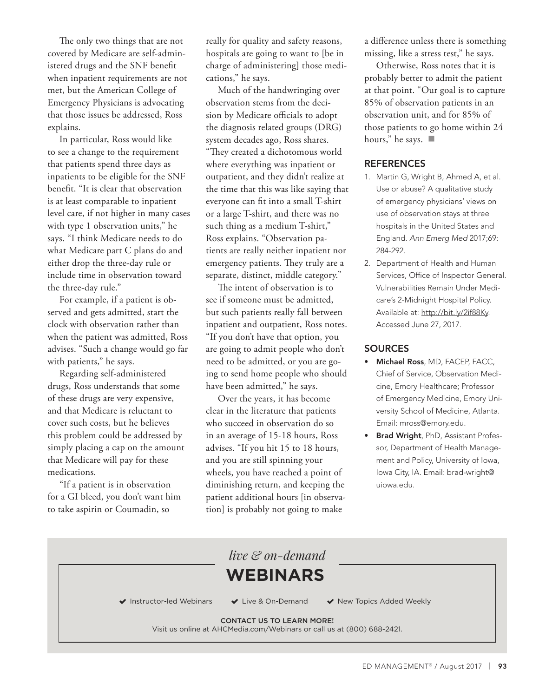The only two things that are not covered by Medicare are self-administered drugs and the SNF benefit when inpatient requirements are not met, but the American College of Emergency Physicians is advocating that those issues be addressed, Ross explains.

In particular, Ross would like to see a change to the requirement that patients spend three days as inpatients to be eligible for the SNF benefit. "It is clear that observation is at least comparable to inpatient level care, if not higher in many cases with type 1 observation units," he says. "I think Medicare needs to do what Medicare part C plans do and either drop the three-day rule or include time in observation toward the three-day rule."

For example, if a patient is observed and gets admitted, start the clock with observation rather than when the patient was admitted, Ross advises. "Such a change would go far with patients," he says.

Regarding self-administered drugs, Ross understands that some of these drugs are very expensive, and that Medicare is reluctant to cover such costs, but he believes this problem could be addressed by simply placing a cap on the amount that Medicare will pay for these medications.

"If a patient is in observation for a GI bleed, you don't want him to take aspirin or Coumadin, so

really for quality and safety reasons, hospitals are going to want to [be in charge of administering] those medications," he says.

Much of the handwringing over observation stems from the decision by Medicare officials to adopt the diagnosis related groups (DRG) system decades ago, Ross shares. "They created a dichotomous world where everything was inpatient or outpatient, and they didn't realize at the time that this was like saying that everyone can fit into a small T-shirt or a large T-shirt, and there was no such thing as a medium T-shirt," Ross explains. "Observation patients are really neither inpatient nor emergency patients. They truly are a separate, distinct, middle category."

The intent of observation is to see if someone must be admitted, but such patients really fall between inpatient and outpatient, Ross notes. "If you don't have that option, you are going to admit people who don't need to be admitted, or you are going to send home people who should have been admitted," he says.

Over the years, it has become clear in the literature that patients who succeed in observation do so in an average of 15-18 hours, Ross advises. "If you hit 15 to 18 hours, and you are still spinning your wheels, you have reached a point of diminishing return, and keeping the patient additional hours [in observation] is probably not going to make

a difference unless there is something missing, like a stress test," he says.

Otherwise, Ross notes that it is probably better to admit the patient at that point. "Our goal is to capture 85% of observation patients in an observation unit, and for 85% of those patients to go home within 24 hours," he says.  $\blacksquare$ 

#### **REFERENCES**

- 1. Martin G, Wright B, Ahmed A, et al. Use or abuse? A qualitative study of emergency physicians' views on use of observation stays at three hospitals in the United States and England. *Ann Emerg Med* 2017;69: 284-292.
- 2. Department of Health and Human Services, Office of Inspector General. Vulnerabilities Remain Under Medicare's 2-Midnight Hospital Policy. Available at: http://bit.ly/2if88Ky. Accessed June 27, 2017.

#### **SOURCES**

- Michael Ross, MD, FACEP, FACC, Chief of Service, Observation Medicine, Emory Healthcare; Professor of Emergency Medicine, Emory University School of Medicine, Atlanta. Email: mross@emory.edu.
- Brad Wright, PhD, Assistant Professor, Department of Health Management and Policy, University of Iowa, Iowa City, IA. Email: brad-wright@ uiowa.edu.

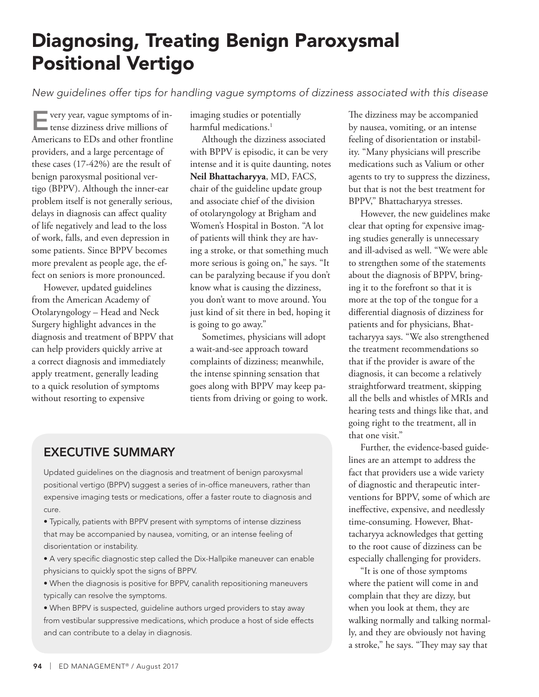### Diagnosing, Treating Benign Paroxysmal Positional Vertigo

*New guidelines offer tips for handling vague symptoms of dizziness associated with this disease*

Every year, vague symptoms of in-tense dizziness drive millions of Americans to EDs and other frontline providers, and a large percentage of these cases (17-42%) are the result of benign paroxysmal positional vertigo (BPPV). Although the inner-ear problem itself is not generally serious, delays in diagnosis can affect quality of life negatively and lead to the loss of work, falls, and even depression in some patients. Since BPPV becomes more prevalent as people age, the effect on seniors is more pronounced.

However, updated guidelines from the American Academy of Otolaryngology – Head and Neck Surgery highlight advances in the diagnosis and treatment of BPPV that can help providers quickly arrive at a correct diagnosis and immediately apply treatment, generally leading to a quick resolution of symptoms without resorting to expensive

imaging studies or potentially harmful medications.<sup>1</sup>

Although the dizziness associated with BPPV is episodic, it can be very intense and it is quite daunting, notes **Neil Bhattacharyya**, MD, FACS, chair of the guideline update group and associate chief of the division of otolaryngology at Brigham and Women's Hospital in Boston. "A lot of patients will think they are having a stroke, or that something much more serious is going on," he says. "It can be paralyzing because if you don't know what is causing the dizziness, you don't want to move around. You just kind of sit there in bed, hoping it is going to go away."

Sometimes, physicians will adopt a wait-and-see approach toward complaints of dizziness; meanwhile, the intense spinning sensation that goes along with BPPV may keep patients from driving or going to work.

#### EXECUTIVE SUMMARY

Updated guidelines on the diagnosis and treatment of benign paroxysmal positional vertigo (BPPV) suggest a series of in-office maneuvers, rather than expensive imaging tests or medications, offer a faster route to diagnosis and cure.

- Typically, patients with BPPV present with symptoms of intense dizziness that may be accompanied by nausea, vomiting, or an intense feeling of disorientation or instability.
- A very specific diagnostic step called the Dix-Hallpike maneuver can enable physicians to quickly spot the signs of BPPV.
- When the diagnosis is positive for BPPV, canalith repositioning maneuvers typically can resolve the symptoms.
- When BPPV is suspected, guideline authors urged providers to stay away from vestibular suppressive medications, which produce a host of side effects and can contribute to a delay in diagnosis.

The dizziness may be accompanied by nausea, vomiting, or an intense feeling of disorientation or instability. "Many physicians will prescribe medications such as Valium or other agents to try to suppress the dizziness, but that is not the best treatment for BPPV," Bhattacharyya stresses.

However, the new guidelines make clear that opting for expensive imaging studies generally is unnecessary and ill-advised as well. "We were able to strengthen some of the statements about the diagnosis of BPPV, bringing it to the forefront so that it is more at the top of the tongue for a differential diagnosis of dizziness for patients and for physicians, Bhattacharyya says. "We also strengthened the treatment recommendations so that if the provider is aware of the diagnosis, it can become a relatively straightforward treatment, skipping all the bells and whistles of MRIs and hearing tests and things like that, and going right to the treatment, all in that one visit."

Further, the evidence-based guidelines are an attempt to address the fact that providers use a wide variety of diagnostic and therapeutic interventions for BPPV, some of which are ineffective, expensive, and needlessly time-consuming. However, Bhattacharyya acknowledges that getting to the root cause of dizziness can be especially challenging for providers.

"It is one of those symptoms where the patient will come in and complain that they are dizzy, but when you look at them, they are walking normally and talking normally, and they are obviously not having a stroke," he says. "They may say that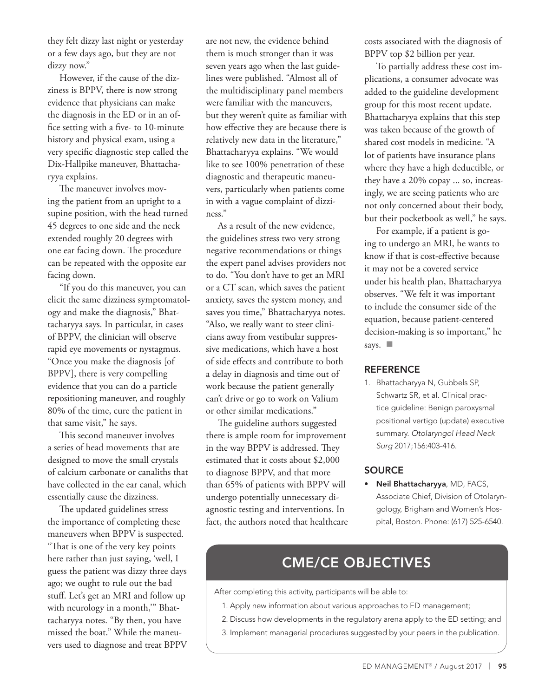they felt dizzy last night or yesterday or a few days ago, but they are not dizzy now."

However, if the cause of the dizziness is BPPV, there is now strong evidence that physicians can make the diagnosis in the ED or in an office setting with a five- to 10-minute history and physical exam, using a very specific diagnostic step called the Dix-Hallpike maneuver, Bhattacharyya explains.

The maneuver involves moving the patient from an upright to a supine position, with the head turned 45 degrees to one side and the neck extended roughly 20 degrees with one ear facing down. The procedure can be repeated with the opposite ear facing down.

"If you do this maneuver, you can elicit the same dizziness symptomatology and make the diagnosis," Bhattacharyya says. In particular, in cases of BPPV, the clinician will observe rapid eye movements or nystagmus. "Once you make the diagnosis [of BPPV], there is very compelling evidence that you can do a particle repositioning maneuver, and roughly 80% of the time, cure the patient in that same visit," he says.

This second maneuver involves a series of head movements that are designed to move the small crystals of calcium carbonate or canaliths that have collected in the ear canal, which essentially cause the dizziness.

The updated guidelines stress the importance of completing these maneuvers when BPPV is suspected. "That is one of the very key points here rather than just saying, 'well, I guess the patient was dizzy three days ago; we ought to rule out the bad stuff. Let's get an MRI and follow up with neurology in a month,'" Bhattacharyya notes. "By then, you have missed the boat." While the maneuvers used to diagnose and treat BPPV are not new, the evidence behind them is much stronger than it was seven years ago when the last guidelines were published. "Almost all of the multidisciplinary panel members were familiar with the maneuvers, but they weren't quite as familiar with how effective they are because there is relatively new data in the literature," Bhattacharyya explains. "We would like to see 100% penetration of these diagnostic and therapeutic maneuvers, particularly when patients come in with a vague complaint of dizziness."

As a result of the new evidence, the guidelines stress two very strong negative recommendations or things the expert panel advises providers not to do. "You don't have to get an MRI or a CT scan, which saves the patient anxiety, saves the system money, and saves you time," Bhattacharyya notes. "Also, we really want to steer clinicians away from vestibular suppressive medications, which have a host of side effects and contribute to both a delay in diagnosis and time out of work because the patient generally can't drive or go to work on Valium or other similar medications."

The guideline authors suggested there is ample room for improvement in the way BPPV is addressed. They estimated that it costs about \$2,000 to diagnose BPPV, and that more than 65% of patients with BPPV will undergo potentially unnecessary diagnostic testing and interventions. In fact, the authors noted that healthcare costs associated with the diagnosis of BPPV top \$2 billion per year.

To partially address these cost implications, a consumer advocate was added to the guideline development group for this most recent update. Bhattacharyya explains that this step was taken because of the growth of shared cost models in medicine. "A lot of patients have insurance plans where they have a high deductible, or they have a 20% copay ... so, increasingly, we are seeing patients who are not only concerned about their body, but their pocketbook as well," he says.

For example, if a patient is going to undergo an MRI, he wants to know if that is cost-effective because it may not be a covered service under his health plan, Bhattacharyya observes. "We felt it was important to include the consumer side of the equation, because patient-centered decision-making is so important," he says.  $\Box$ 

#### **REFERENCE**

1. Bhattacharyya N, Gubbels SP, Schwartz SR, et al. Clinical practice guideline: Benign paroxysmal positional vertigo (update) executive summary. *Otolaryngol Head Neck Surg* 2017;156:403-416.

#### **SOURCE**

• Neil Bhattacharyya, MD, FACS, Associate Chief, Division of Otolaryngology, Brigham and Women's Hospital, Boston. Phone: (617) 525-6540.

#### CME/CE OBJECTIVES

After completing this activity, participants will be able to:

- 1. Apply new information about various approaches to ED management;
- 2. Discuss how developments in the regulatory arena apply to the ED setting; and
- 3. Implement managerial procedures suggested by your peers in the publication.